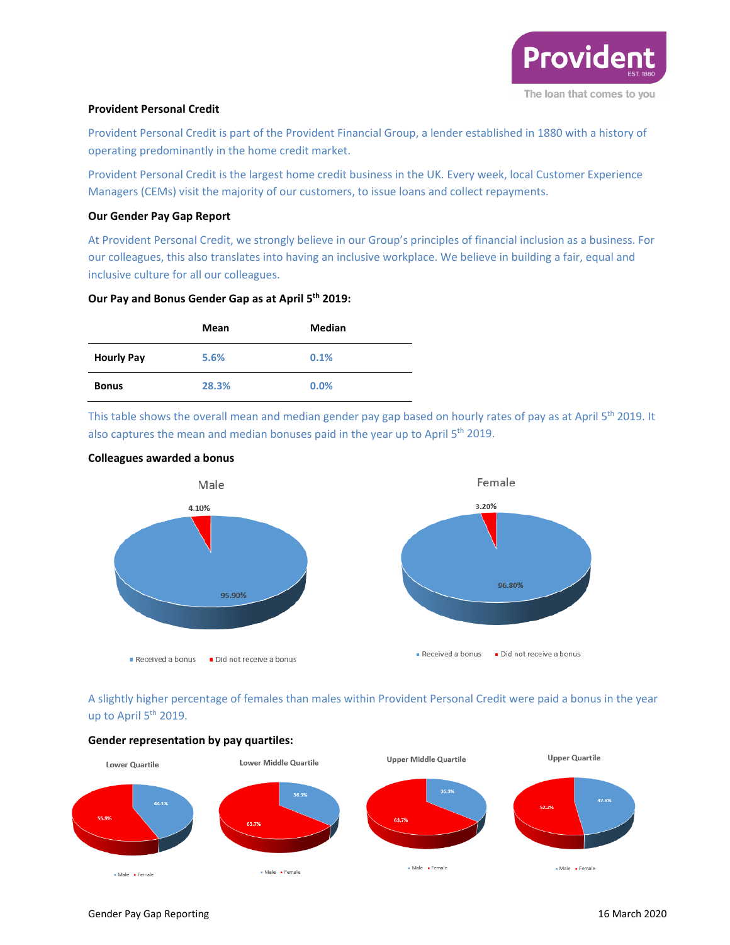

## **Provident Personal Credit**

Provident Personal Credit is part of the Provident Financial Group, a lender established in 1880 with a history of operating predominantly in the home credit market.

Provident Personal Credit is the largest home credit business in the UK. Every week, local Customer Experience Managers (CEMs) visit the majority of our customers, to issue loans and collect repayments.

## **Our Gender Pay Gap Report**

At Provident Personal Credit, we strongly believe in our Group's principles of financial inclusion as a business. For our colleagues, this also translates into having an inclusive workplace. We believe in building a fair, equal and inclusive culture for all our colleagues.

## **Our Pay and Bonus Gender Gap as at April 5th 2019:**

|                   | Mean  | <b>Median</b> |
|-------------------|-------|---------------|
| <b>Hourly Pay</b> | 5.6%  | 0.1%          |
| <b>Bonus</b>      | 28.3% | 0.0%          |

This table shows the overall mean and median gender pay gap based on hourly rates of pay as at April 5<sup>th</sup> 2019. It also captures the mean and median bonuses paid in the year up to April  $5<sup>th</sup>$  2019.



## **Colleagues awarded a bonus**

A slightly higher percentage of females than males within Provident Personal Credit were paid a bonus in the year up to April 5<sup>th</sup> 2019.